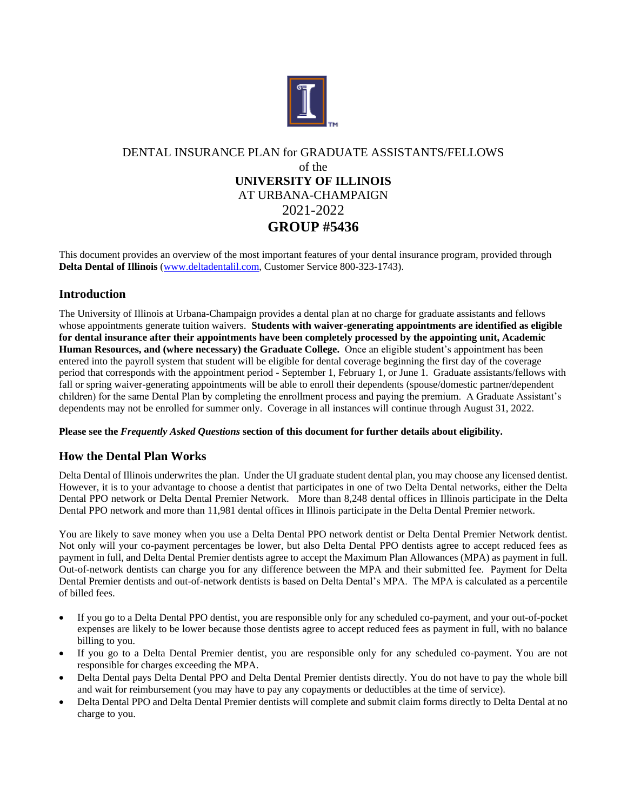

# DENTAL INSURANCE PLAN for GRADUATE ASSISTANTS/FELLOWS of the **UNIVERSITY OF ILLINOIS** AT URBANA-CHAMPAIGN 2021-2022 **GROUP #5436**

This document provides an overview of the most important features of your dental insurance program, provided through **Delta Dental of Illinois** [\(www.deltadentalil.com,](http://www.deltadentalil.com/) Customer Service 800-323-1743).

# **Introduction**

The University of Illinois at Urbana-Champaign provides a dental plan at no charge for graduate assistants and fellows whose appointments generate tuition waivers. **Students with waiver-generating appointments are identified as eligible for dental insurance after their appointments have been completely processed by the appointing unit, Academic Human Resources, and (where necessary) the Graduate College.** Once an eligible student's appointment has been entered into the payroll system that student will be eligible for dental coverage beginning the first day of the coverage period that corresponds with the appointment period - September 1, February 1, or June 1. Graduate assistants/fellows with fall or spring waiver-generating appointments will be able to enroll their dependents (spouse/domestic partner/dependent children) for the same Dental Plan by completing the enrollment process and paying the premium. A Graduate Assistant's dependents may not be enrolled for summer only. Coverage in all instances will continue through August 31, 2022.

## **Please see the** *Frequently Asked Questions* **section of this document for further details about eligibility.**

# **How the Dental Plan Works**

Delta Dental of Illinois underwrites the plan. Under the UI graduate student dental plan, you may choose any licensed dentist. However, it is to your advantage to choose a dentist that participates in one of two Delta Dental networks, either the Delta Dental PPO network or Delta Dental Premier Network. More than 8,248 dental offices in Illinois participate in the Delta Dental PPO network and more than 11,981 dental offices in Illinois participate in the Delta Dental Premier network.

You are likely to save money when you use a Delta Dental PPO network dentist or Delta Dental Premier Network dentist. Not only will your co-payment percentages be lower, but also Delta Dental PPO dentists agree to accept reduced fees as payment in full, and Delta Dental Premier dentists agree to accept the Maximum Plan Allowances (MPA) as payment in full. Out-of-network dentists can charge you for any difference between the MPA and their submitted fee. Payment for Delta Dental Premier dentists and out-of-network dentists is based on Delta Dental's MPA. The MPA is calculated as a percentile of billed fees.

- If you go to a Delta Dental PPO dentist, you are responsible only for any scheduled co-payment, and your out-of-pocket expenses are likely to be lower because those dentists agree to accept reduced fees as payment in full, with no balance billing to you.
- If you go to a Delta Dental Premier dentist, you are responsible only for any scheduled co-payment. You are not responsible for charges exceeding the MPA.
- Delta Dental pays Delta Dental PPO and Delta Dental Premier dentists directly. You do not have to pay the whole bill and wait for reimbursement (you may have to pay any copayments or deductibles at the time of service).
- Delta Dental PPO and Delta Dental Premier dentists will complete and submit claim forms directly to Delta Dental at no charge to you.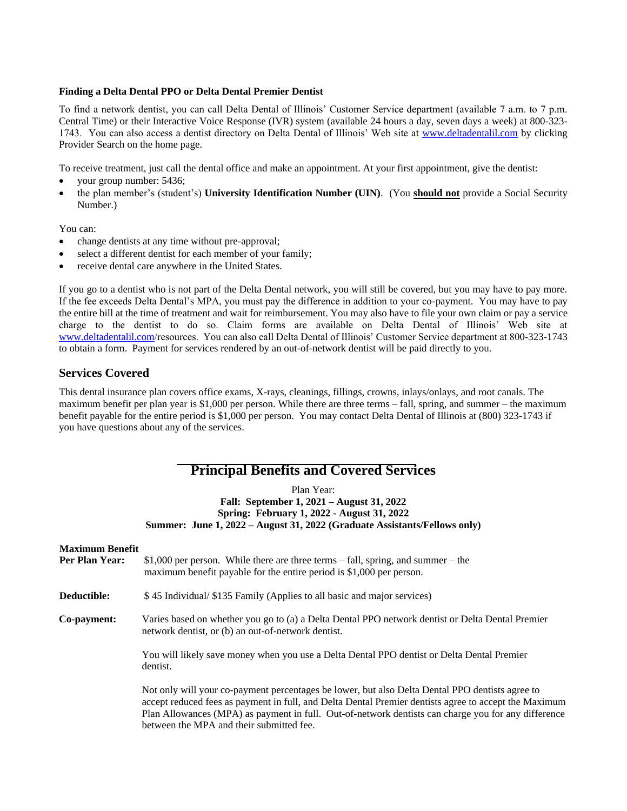#### **Finding a Delta Dental PPO or Delta Dental Premier Dentist**

To find a network dentist, you can call Delta Dental of Illinois' Customer Service department (available 7 a.m. to 7 p.m. Central Time) or their Interactive Voice Response (IVR) system (available 24 hours a day, seven days a week) at 800-323- 1743. You can also access a dentist directory on Delta Dental of Illinois' Web site at [www.deltadentalil.com](http://www.deltadentalil.com/) by clicking Provider Search on the home page.

To receive treatment, just call the dental office and make an appointment. At your first appointment, give the dentist:

- your group number: 5436;
- the plan member's (student's) **University Identification Number (UIN)**. (You **should not** provide a Social Security Number.)

You can:

- change dentists at any time without pre-approval;
- select a different dentist for each member of your family;
- receive dental care anywhere in the United States.

If you go to a dentist who is not part of the Delta Dental network, you will still be covered, but you may have to pay more. If the fee exceeds Delta Dental's MPA, you must pay the difference in addition to your co-payment. You may have to pay the entire bill at the time of treatment and wait for reimbursement. You may also have to file your own claim or pay a service charge to the dentist to do so. Claim forms are available on Delta Dental of Illinois' Web site at [www.deltadentalil.com/](http://www.deltadentalil.com/)resources. You can also call Delta Dental of Illinois' Customer Service department at 800-323-1743 to obtain a form. Payment for services rendered by an out-of-network dentist will be paid directly to you.

# **Services Covered**

This dental insurance plan covers office exams, X-rays, cleanings, fillings, crowns, inlays/onlays, and root canals. The maximum benefit per plan year is \$1,000 per person. While there are three terms – fall, spring, and summer – the maximum benefit payable for the entire period is \$1,000 per person. You may contact Delta Dental of Illinois at (800) 323-1743 if you have questions about any of the services.

# **Principal Benefits and Covered Services**

### Plan Year: **Fall: September 1, 2021 – August 31, 2022 Spring: February 1, 2022 - August 31, 2022 Summer: June 1, 2022 – August 31, 2022 (Graduate Assistants/Fellows only)**

# **Maximum Benefit Per Plan Year:** \$1,000 per person. While there are three terms – fall, spring, and summer – the maximum benefit payable for the entire period is \$1,000 per person. **Deductible:**  $$ 45$  Individual/ $$135$  Family (Applies to all basic and major services) **Co-payment:** Varies based on whether you go to (a) a Delta Dental PPO network dentist or Delta Dental Premier network dentist, or (b) an out-of-network dentist. You will likely save money when you use a Delta Dental PPO dentist or Delta Dental Premier dentist. Not only will your co-payment percentages be lower, but also Delta Dental PPO dentists agree to accept reduced fees as payment in full, and Delta Dental Premier dentists agree to accept the Maximum Plan Allowances (MPA) as payment in full. Out-of-network dentists can charge you for any difference between the MPA and their submitted fee.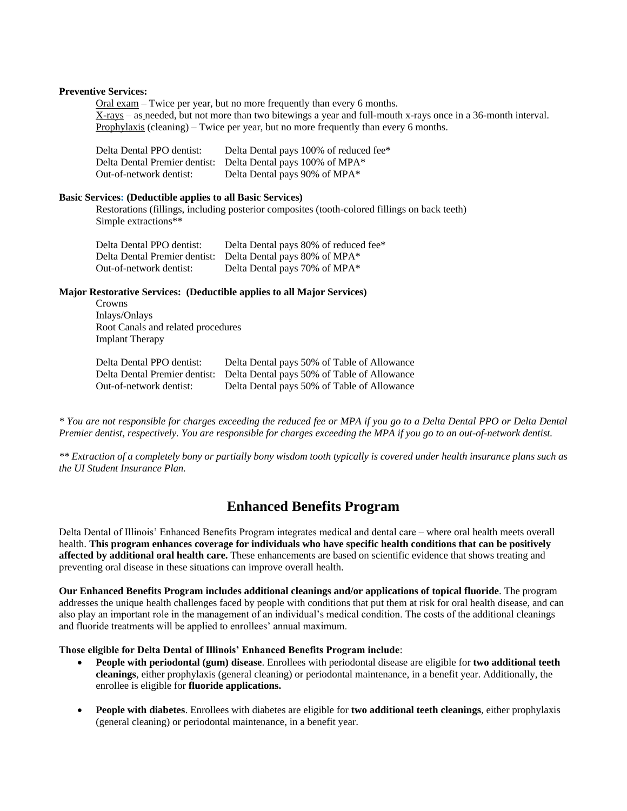#### **Preventive Services:**

Oral exam – Twice per year, but no more frequently than every 6 months. X-rays – as needed, but not more than two bitewings a year and full-mouth x-rays once in a 36-month interval. Prophylaxis (cleaning) – Twice per year, but no more frequently than every 6 months.

| Delta Dental PPO dentist:     | Delta Dental pays 100% of reduced fee* |
|-------------------------------|----------------------------------------|
| Delta Dental Premier dentist: | Delta Dental pays 100% of MPA*         |
| Out-of-network dentist:       | Delta Dental pays 90% of MPA*          |

#### **Basic Services: (Deductible applies to all Basic Services)**

Restorations (fillings, including posterior composites (tooth-colored fillings on back teeth) Simple extractions\*\*

| Delta Dental PPO dentist: | Delta Dental pays 80% of reduced fee*                       |
|---------------------------|-------------------------------------------------------------|
|                           | Delta Dental Premier dentist: Delta Dental pays 80% of MPA* |
| Out-of-network dentist:   | Delta Dental pays 70% of MPA*                               |

**Major Restorative Services: (Deductible applies to all Major Services)**

Crowns Inlays/Onlays Root Canals and related procedures Implant Therapy

| Delta Dental PPO dentist: | Delta Dental pays 50% of Table of Allowance                               |
|---------------------------|---------------------------------------------------------------------------|
|                           | Delta Dental Premier dentist: Delta Dental pays 50% of Table of Allowance |
| Out-of-network dentist:   | Delta Dental pays 50% of Table of Allowance                               |

*\* You are not responsible for charges exceeding the reduced fee or MPA if you go to a Delta Dental PPO or Delta Dental Premier dentist, respectively. You are responsible for charges exceeding the MPA if you go to an out-of-network dentist.*

*\*\* Extraction of a completely bony or partially bony wisdom tooth typically is covered under health insurance plans such as the UI Student Insurance Plan.*

# **Enhanced Benefits Program**

Delta Dental of Illinois' Enhanced Benefits Program integrates medical and dental care – where oral health meets overall health. **This program enhances coverage for individuals who have specific health conditions that can be positively affected by additional oral health care.** These enhancements are based on scientific evidence that shows treating and preventing oral disease in these situations can improve overall health.

**Our Enhanced Benefits Program includes additional cleanings and/or applications of topical fluoride**. The program addresses the unique health challenges faced by people with conditions that put them at risk for oral health disease, and can also play an important role in the management of an individual's medical condition. The costs of the additional cleanings and fluoride treatments will be applied to enrollees' annual maximum.

#### **Those eligible for Delta Dental of Illinois' Enhanced Benefits Program include**:

- **People with periodontal (gum) disease**. Enrollees with periodontal disease are eligible for **two additional teeth cleanings**, either prophylaxis (general cleaning) or periodontal maintenance, in a benefit year. Additionally, the enrollee is eligible for **fluoride applications.**
- **People with diabetes**. Enrollees with diabetes are eligible for **two additional teeth cleanings**, either prophylaxis (general cleaning) or periodontal maintenance, in a benefit year.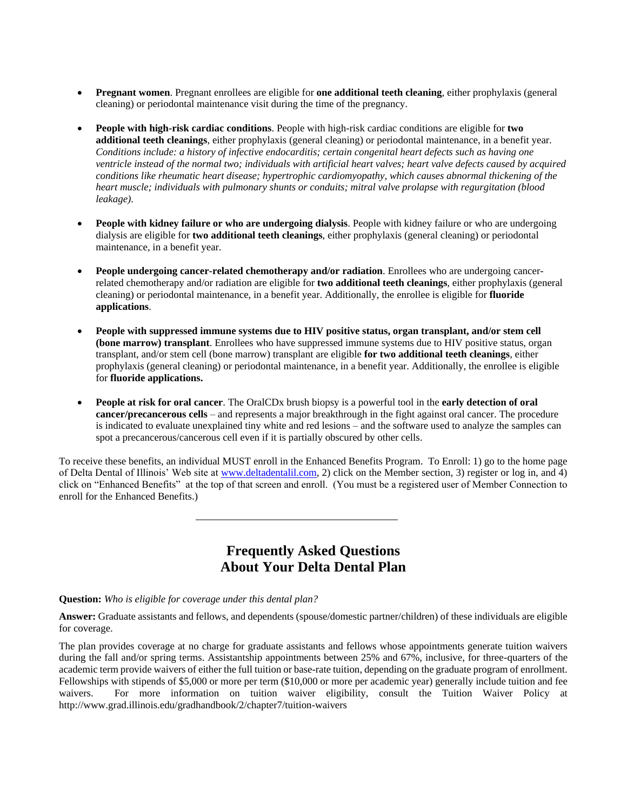- **Pregnant women**. Pregnant enrollees are eligible for **one additional teeth cleaning**, either prophylaxis (general cleaning) or periodontal maintenance visit during the time of the pregnancy.
- **People with high-risk cardiac conditions**. People with high-risk cardiac conditions are eligible for **two additional teeth cleanings**, either prophylaxis (general cleaning) or periodontal maintenance, in a benefit year. *Conditions include: a history of infective endocarditis; certain congenital heart defects such as having one ventricle instead of the normal two; individuals with artificial heart valves; heart valve defects caused by acquired conditions like rheumatic heart disease; hypertrophic cardiomyopathy, which causes abnormal thickening of the heart muscle; individuals with pulmonary shunts or conduits; mitral valve prolapse with regurgitation (blood leakage).*
- **People with kidney failure or who are undergoing dialysis**. People with kidney failure or who are undergoing dialysis are eligible for **two additional teeth cleanings**, either prophylaxis (general cleaning) or periodontal maintenance, in a benefit year.
- **People undergoing cancer-related chemotherapy and/or radiation**. Enrollees who are undergoing cancerrelated chemotherapy and/or radiation are eligible for **two additional teeth cleanings**, either prophylaxis (general cleaning) or periodontal maintenance, in a benefit year. Additionally, the enrollee is eligible for **fluoride applications**.
- **People with suppressed immune systems due to HIV positive status, organ transplant, and/or stem cell (bone marrow) transplant**. Enrollees who have suppressed immune systems due to HIV positive status, organ transplant, and/or stem cell (bone marrow) transplant are eligible **for two additional teeth cleanings**, either prophylaxis (general cleaning) or periodontal maintenance, in a benefit year. Additionally, the enrollee is eligible for **fluoride applications.**
- **People at risk for oral cancer**. The OralCDx brush biopsy is a powerful tool in the **early detection of oral cancer/precancerous cells** – and represents a major breakthrough in the fight against oral cancer. The procedure is indicated to evaluate unexplained tiny white and red lesions – and the software used to analyze the samples can spot a precancerous/cancerous cell even if it is partially obscured by other cells.

To receive these benefits, an individual MUST enroll in the Enhanced Benefits Program. To Enroll: 1) go to the home page of Delta Dental of Illinois' Web site at [www.deltadentalil.com,](http://www.deltadentalil.com/) 2) click on the Member section, 3) register or log in, and 4) click on "Enhanced Benefits" at the top of that screen and enroll. (You must be a registered user of Member Connection to enroll for the Enhanced Benefits.)

# **Frequently Asked Questions About Your Delta Dental Plan**

### **Question:** *Who is eligible for coverage under this dental plan?*

**Answer:** Graduate assistants and fellows, and dependents (spouse/domestic partner/children) of these individuals are eligible for coverage.

The plan provides coverage at no charge for graduate assistants and fellows whose appointments generate tuition waivers during the fall and/or spring terms. Assistantship appointments between 25% and 67%, inclusive, for three-quarters of the academic term provide waivers of either the full tuition or base-rate tuition, depending on the graduate program of enrollment. Fellowships with stipends of \$5,000 or more per term (\$10,000 or more per academic year) generally include tuition and fee waivers. For more information on tuition waiver eligibility, consult the Tuition Waiver Policy http://www.grad.illinois.edu/gradhandbook/2/chapter7/tuition-waivers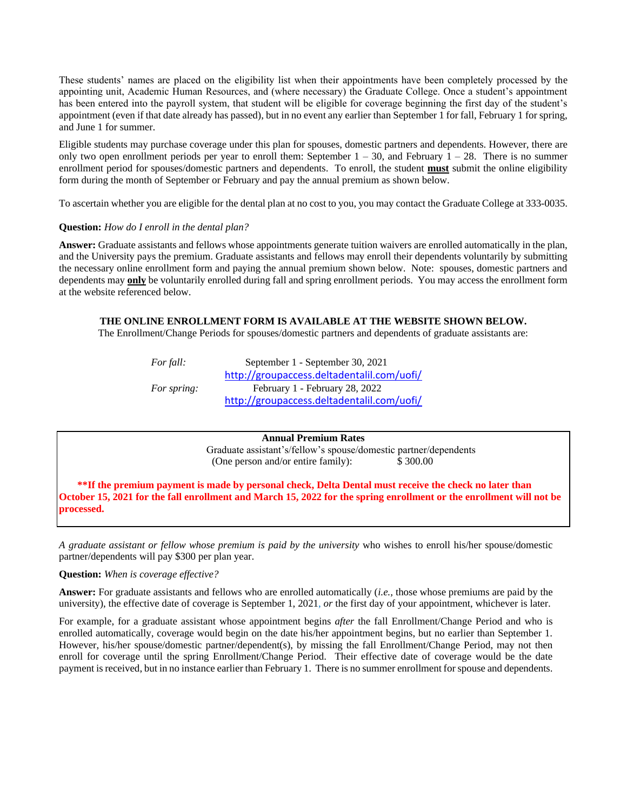These students' names are placed on the eligibility list when their appointments have been completely processed by the appointing unit, Academic Human Resources, and (where necessary) the Graduate College. Once a student's appointment has been entered into the payroll system, that student will be eligible for coverage beginning the first day of the student's appointment (even if that date already has passed), but in no event any earlier than September 1 for fall, February 1 for spring, and June 1 for summer.

Eligible students may purchase coverage under this plan for spouses, domestic partners and dependents. However, there are only two open enrollment periods per year to enroll them: September  $1 - 30$ , and February  $1 - 28$ . There is no summer enrollment period for spouses/domestic partners and dependents. To enroll, the student **must** submit the online eligibility form during the month of September or February and pay the annual premium as shown below.

To ascertain whether you are eligible for the dental plan at no cost to you, you may contact the Graduate College at 333-0035.

### **Question:** *How do I enroll in the dental plan?*

**Answer:** Graduate assistants and fellows whose appointments generate tuition waivers are enrolled automatically in the plan, and the University pays the premium. Graduate assistants and fellows may enroll their dependents voluntarily by submitting the necessary online enrollment form and paying the annual premium shown below. Note: spouses, domestic partners and dependents may **only** be voluntarily enrolled during fall and spring enrollment periods. You may access the enrollment form at the website referenced below.

# **THE ONLINE ENROLLMENT FORM IS AVAILABLE AT THE WEBSITE SHOWN BELOW.**

The Enrollment/Change Periods for spouses/domestic partners and dependents of graduate assistants are:

| For fall:          | September 1 - September 30, 2021           |
|--------------------|--------------------------------------------|
|                    | http://groupaccess.deltadentalil.com/uofi/ |
| <i>For spring:</i> | February 1 - February 28, 2022             |
|                    | http://groupaccess.deltadentalil.com/uofi/ |

**Annual Premium Rates** Graduate assistant's/fellow's spouse/domestic partner/dependents (One person and/or entire family): \$300.00

**\*\*If the premium payment is made by personal check, Delta Dental must receive the check no later than October 15, 2021 for the fall enrollment and March 15, 2022 for the spring enrollment or the enrollment will not be processed.** 

*A graduate assistant or fellow whose premium is paid by the university* who wishes to enroll his/her spouse/domestic partner/dependents will pay \$300 per plan year.

**Question:** *When is coverage effective?*

**Answer:** For graduate assistants and fellows who are enrolled automatically (*i.e.,* those whose premiums are paid by the university), the effective date of coverage is September 1, 2021, *or* the first day of your appointment, whichever is later.

For example, for a graduate assistant whose appointment begins *after* the fall Enrollment/Change Period and who is enrolled automatically, coverage would begin on the date his/her appointment begins, but no earlier than September 1. However, his/her spouse/domestic partner/dependent(s), by missing the fall Enrollment/Change Period, may not then enroll for coverage until the spring Enrollment/Change Period. Their effective date of coverage would be the date payment is received, but in no instance earlier than February 1. There is no summer enrollment for spouse and dependents.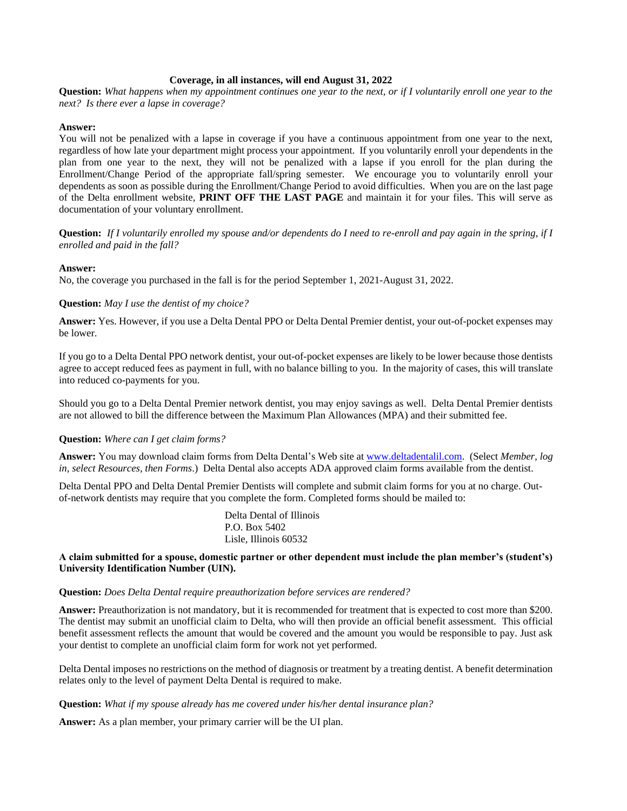#### **Coverage, in all instances, will end August 31, 2022**

**Question:** *What happens when my appointment continues one year to the next, or if I voluntarily enroll one year to the next? Is there ever a lapse in coverage?* 

### **Answer:**

You will not be penalized with a lapse in coverage if you have a continuous appointment from one year to the next, regardless of how late your department might process your appointment. If you voluntarily enroll your dependents in the plan from one year to the next, they will not be penalized with a lapse if you enroll for the plan during the Enrollment/Change Period of the appropriate fall/spring semester. We encourage you to voluntarily enroll your dependents as soon as possible during the Enrollment/Change Period to avoid difficulties. When you are on the last page of the Delta enrollment website, **PRINT OFF THE LAST PAGE** and maintain it for your files. This will serve as documentation of your voluntary enrollment.

**Question:** *If I voluntarily enrolled my spouse and/or dependents do I need to re-enroll and pay again in the spring, if I enrolled and paid in the fall?*

### **Answer:**

No, the coverage you purchased in the fall is for the period September 1, 2021-August 31, 2022.

#### **Question:** *May I use the dentist of my choice?*

**Answer:** Yes. However, if you use a Delta Dental PPO or Delta Dental Premier dentist, your out-of-pocket expenses may be lower.

If you go to a Delta Dental PPO network dentist, your out-of-pocket expenses are likely to be lower because those dentists agree to accept reduced fees as payment in full, with no balance billing to you. In the majority of cases, this will translate into reduced co-payments for you.

Should you go to a Delta Dental Premier network dentist, you may enjoy savings as well. Delta Dental Premier dentists are not allowed to bill the difference between the Maximum Plan Allowances (MPA) and their submitted fee.

### **Question:** *Where can I get claim forms?*

**Answer:** You may download claim forms from Delta Dental's Web site at [www.deltadentalil.com.](http://www.deltadentalil.com/) (Select *Member, log in, select Resources, then Forms*.) Delta Dental also accepts ADA approved claim forms available from the dentist.

Delta Dental PPO and Delta Dental Premier Dentists will complete and submit claim forms for you at no charge. Outof-network dentists may require that you complete the form. Completed forms should be mailed to:

> Delta Dental of Illinois P.O. Box 5402 Lisle, Illinois 60532

#### **A claim submitted for a spouse, domestic partner or other dependent must include the plan member's (student's) University Identification Number (UIN).**

#### **Question:** *Does Delta Dental require preauthorization before services are rendered?*

**Answer:** Preauthorization is not mandatory, but it is recommended for treatment that is expected to cost more than \$200. The dentist may submit an unofficial claim to Delta, who will then provide an official benefit assessment. This official benefit assessment reflects the amount that would be covered and the amount you would be responsible to pay. Just ask your dentist to complete an unofficial claim form for work not yet performed.

Delta Dental imposes no restrictions on the method of diagnosis or treatment by a treating dentist. A benefit determination relates only to the level of payment Delta Dental is required to make.

#### **Question:** *What if my spouse already has me covered under his/her dental insurance plan?*

**Answer:** As a plan member, your primary carrier will be the UI plan.